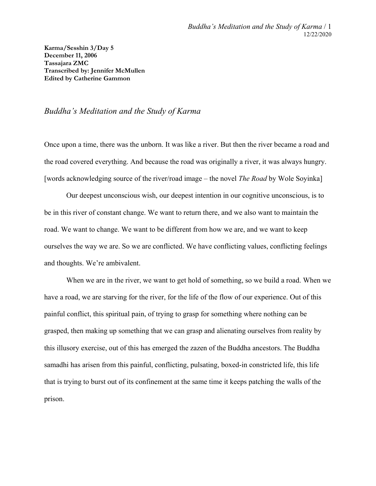**Karma/Sesshin 3/Day 5 December 11, 2006 Tassajara ZMC Transcribed by: Jennifer McMullen Edited by Catherine Gammon**

## *Buddha's Meditation and the Study of Karma*

Once upon a time, there was the unborn. It was like a river. But then the river became a road and the road covered everything. And because the road was originally a river, it was always hungry. [words acknowledging source of the river/road image – the novel *The Road* by Wole Soyinka]

Our deepest unconscious wish, our deepest intention in our cognitive unconscious, is to be in this river of constant change. We want to return there, and we also want to maintain the road. We want to change. We want to be different from how we are, and we want to keep ourselves the way we are. So we are conflicted. We have conflicting values, conflicting feelings and thoughts. We're ambivalent.

When we are in the river, we want to get hold of something, so we build a road. When we have a road, we are starving for the river, for the life of the flow of our experience. Out of this painful conflict, this spiritual pain, of trying to grasp for something where nothing can be grasped, then making up something that we can grasp and alienating ourselves from reality by this illusory exercise, out of this has emerged the zazen of the Buddha ancestors. The Buddha samadhi has arisen from this painful, conflicting, pulsating, boxed-in constricted life, this life that is trying to burst out of its confinement at the same time it keeps patching the walls of the prison.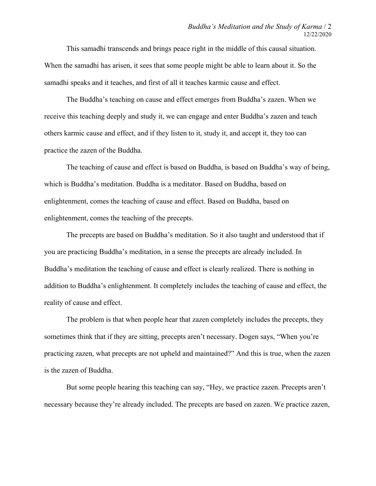This samadhi transcends and brings peace right in the middle of this causal situation. When the samadhi has arisen, it sees that some people might be able to learn about it. So the samadhi speaks and it teaches, and first of all it teaches karmic cause and effect.

The Buddha's teaching on cause and effect emerges from Buddha's zazen. When we receive this teaching deeply and study it, we can engage and enter Buddha's zazen and teach others karmic cause and effect, and if they listen to it, study it, and accept it, they too can practice the zazen of the Buddha.

The teaching of cause and effect is based on Buddha, is based on Buddha's way of being, which is Buddha's meditation. Buddha is a meditator. Based on Buddha, based on enlightenment, comes the teaching of cause and effect. Based on Buddha, based on enlightenment, comes the teaching of the precepts.

The precepts are based on Buddha's meditation. So it also taught and understood that if you are practicing Buddha's meditation, in a sense the precepts are already included. In Buddha's meditation the teaching of cause and effect is clearly realized. There is nothing in addition to Buddha's enlightenment. It completely includes the teaching of cause and effect, the reality of cause and effect.

The problem is that when people hear that zazen completely includes the precepts, they sometimes think that if they are sitting, precepts aren't necessary. Dogen says, "When you're practicing zazen, what precepts are not upheld and maintained?" And this is true, when the zazen is the zazen of Buddha.

But some people hearing this teaching can say, "Hey, we practice zazen. Precepts aren't necessary because they're already included. The precepts are based on zazen. We practice zazen,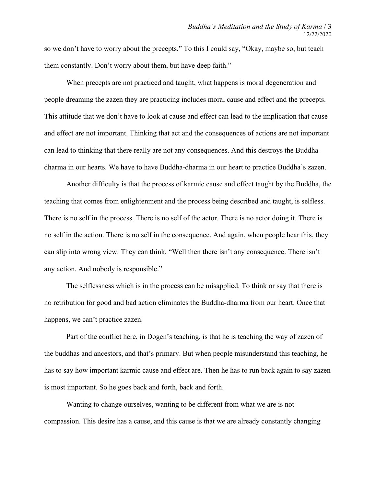so we don't have to worry about the precepts." To this I could say, "Okay, maybe so, but teach them constantly. Don't worry about them, but have deep faith."

When precepts are not practiced and taught, what happens is moral degeneration and people dreaming the zazen they are practicing includes moral cause and effect and the precepts. This attitude that we don't have to look at cause and effect can lead to the implication that cause and effect are not important. Thinking that act and the consequences of actions are not important can lead to thinking that there really are not any consequences. And this destroys the Buddhadharma in our hearts. We have to have Buddha-dharma in our heart to practice Buddha's zazen.

Another difficulty is that the process of karmic cause and effect taught by the Buddha, the teaching that comes from enlightenment and the process being described and taught, is selfless. There is no self in the process. There is no self of the actor. There is no actor doing it. There is no self in the action. There is no self in the consequence. And again, when people hear this, they can slip into wrong view. They can think, "Well then there isn't any consequence. There isn't any action. And nobody is responsible."

The selflessness which is in the process can be misapplied. To think or say that there is no retribution for good and bad action eliminates the Buddha-dharma from our heart. Once that happens, we can't practice zazen.

Part of the conflict here, in Dogen's teaching, is that he is teaching the way of zazen of the buddhas and ancestors, and that's primary. But when people misunderstand this teaching, he has to say how important karmic cause and effect are. Then he has to run back again to say zazen is most important. So he goes back and forth, back and forth.

Wanting to change ourselves, wanting to be different from what we are is not compassion. This desire has a cause, and this cause is that we are already constantly changing